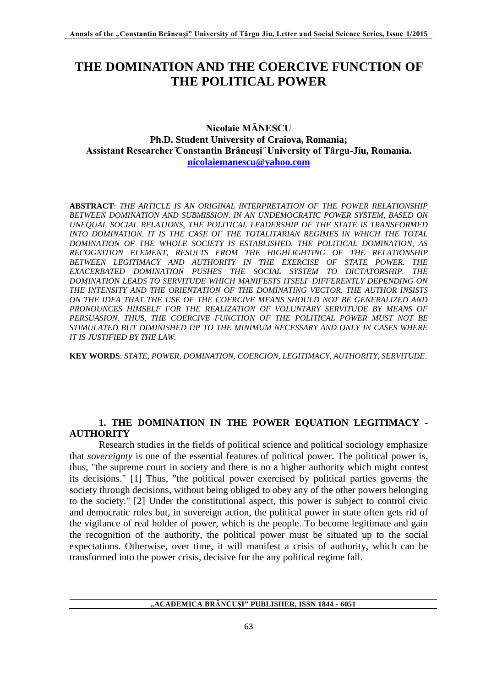# **THE DOMINATION AND THE COERCIVE FUNCTION OF THE POLITICAL POWER**

## **Nicolaie MĂNESCU Ph.D. Student University of Craiova, Romania; Assistant Researcher ̋Constantin Brâncuși ̋ University of Târgu-Jiu, Romania. [nicolaiemanescu@yahoo.com](mailto:nicolaiemanescu@yahoo.com)**

**ABSTRACT**: *THE ARTICLE IS AN ORIGINAL INTERPRETATION OF THE POWER RELATIONSHIP BETWEEN DOMINATION AND SUBMISSION. IN AN UNDEMOCRATIC POWER SYSTEM, BASED ON UNEQUAL SOCIAL RELATIONS, THE POLITICAL LEADERSHIP OF THE STATE IS TRANSFORMED INTO DOMINATION. IT IS THE CASE OF THE TOTALITARIAN REGIMES IN WHICH THE TOTAL DOMINATION OF THE WHOLE SOCIETY IS ESTABLISHED. THE POLITICAL DOMINATION, AS RECOGNITION ELEMENT, RESULTS FROM THE HIGHLIGHTING OF THE RELATIONSHIP BETWEEN LEGITIMACY AND AUTHORITY IN THE EXERCISE OF STATE POWER. THE EXACERBATED DOMINATION PUSHES THE SOCIAL SYSTEM TO DICTATORSHIP. THE DOMINATION LEADS TO SERVITUDE WHICH MANIFESTS ITSELF DIFFERENTLY DEPENDING ON THE INTENSITY AND THE ORIENTATION OF THE DOMINATING VECTOR. THE AUTHOR INSISTS ON THE IDEA THAT THE USE OF THE COERCIVE MEANS SHOULD NOT BE GENERALIZED AND*  PRONOUNCES HIMSELF FOR THE REALIZATION OF VOLUNTARY SERVITUDE BY MEANS OF *PERSUASION. THUS, THE COERCIVE FUNCTION OF THE POLITICAL POWER MUST NOT BE STIMULATED BUT DIMINISHED UP TO THE MINIMUM NECESSARY AND ONLY IN CASES WHERE IT IS JUSTIFIED BY THE LAW.*

**KEY WORDS**: *STATE, POWER, DOMINATION, COERCION, LEGITIMACY, AUTHORITY, SERVITUDE*.

# **1. THE DOMINATION IN THE POWER EQUATION LEGITIMACY - AUTHORITY**

Research studies in the fields of political science and political sociology emphasize that *sovereignty* is one of the essential features of political power. The political power is, thus, "the supreme court in society and there is no a higher authority which might contest its decisions." [1] Thus, "the political power exercised by political parties governs the society through decisions, without being obliged to obey any of the other powers belonging to the society." [2] Under the constitutional aspect, this power is subject to control civic and democratic rules but, in sovereign action, the political power in state often gets rid of the vigilance of real holder of power, which is the people. To become legitimate and gain the recognition of the authority, the political power must be situated up to the social expectations. Otherwise, over time, it will manifest a crisis of authority, which can be transformed into the power crisis, decisive for the any political regime fall.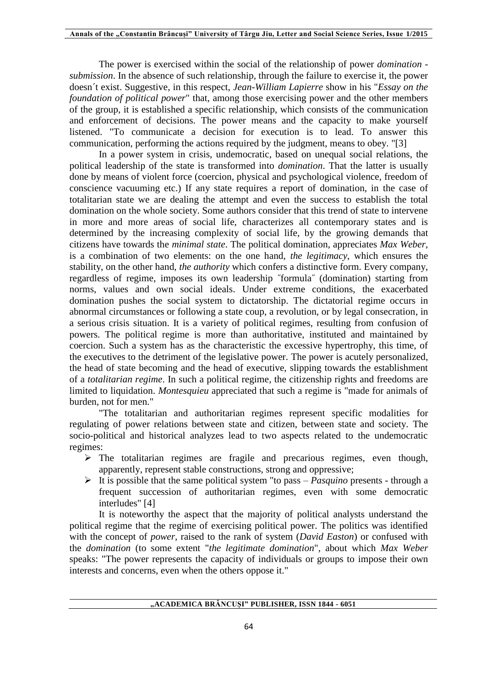The power is exercised within the social of the relationship of power *domination submission*. In the absence of such relationship, through the failure to exercise it, the power doesn´t exist. Suggestive, in this respect, *Jean-William Lapierre* show in his "*Essay on the foundation of political power*" that, among those exercising power and the other members of the group, it is established a specific relationship, which consists of the communication and enforcement of decisions. The power means and the capacity to make yourself listened. "To communicate a decision for execution is to lead. To answer this communication, performing the actions required by the judgment, means to obey. "[3]

In a power system in crisis, undemocratic, based on unequal social relations, the political leadership of the state is transformed into *domination*. That the latter is usually done by means of violent force (coercion, physical and psychological violence, freedom of conscience vacuuming etc.) If any state requires a report of domination, in the case of totalitarian state we are dealing the attempt and even the success to establish the total domination on the whole society. Some authors consider that this trend of state to intervene in more and more areas of social life, characterizes all contemporary states and is determined by the increasing complexity of social life, by the growing demands that citizens have towards the *minimal state*. The political domination, appreciates *Max Weber*, is a combination of two elements: on the one hand, *the legitimacy*, which ensures the stability, on the other hand, *the authority* which confers a distinctive form. Every company, regardless of regime, imposes its own leadership ˝formula˝ (domination) starting from norms, values and own social ideals. Under extreme conditions, the exacerbated domination pushes the social system to dictatorship. The dictatorial regime occurs in abnormal circumstances or following a state coup, a revolution, or by legal consecration, in a serious crisis situation. It is a variety of political regimes, resulting from confusion of powers. The political regime is more than authoritative, instituted and maintained by coercion. Such a system has as the characteristic the excessive hypertrophy, this time, of the executives to the detriment of the legislative power. The power is acutely personalized, the head of state becoming and the head of executive, slipping towards the establishment of a *totalitarian regime*. In such a political regime, the citizenship rights and freedoms are limited to liquidation. *Montesquieu* appreciated that such a regime is "made for animals of burden, not for men."

"The totalitarian and authoritarian regimes represent specific modalities for regulating of power relations between state and citizen, between state and society. The socio-political and historical analyzes lead to two aspects related to the undemocratic regimes:

- $\triangleright$  The totalitarian regimes are fragile and precarious regimes, even though, apparently, represent stable constructions, strong and oppressive;
- $\triangleright$  It is possible that the same political system "to pass *Pasquino* presents through a frequent succession of authoritarian regimes, even with some democratic interludes" [4]

It is noteworthy the aspect that the majority of political analysts understand the political regime that the regime of exercising political power. The politics was identified with the concept of *power*, raised to the rank of system (*David Easton*) or confused with the *domination* (to some extent "*the legitimate domination*", about which *Max Weber* speaks: "The power represents the capacity of individuals or groups to impose their own interests and concerns, even when the others oppose it."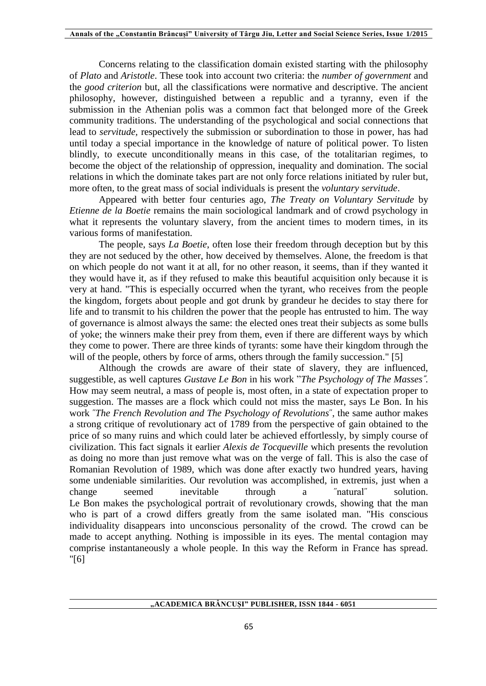Concerns relating to the classification domain existed starting with the philosophy of *Plato* and *Aristotle*. These took into account two criteria: the *number of government* and the *good criterion* but, all the classifications were normative and descriptive. The ancient philosophy, however, distinguished between a republic and a tyranny, even if the submission in the Athenian polis was a common fact that belonged more of the Greek community traditions. The understanding of the psychological and social connections that lead to *servitude,* respectively the submission or subordination to those in power, has had until today a special importance in the knowledge of nature of political power. To listen blindly, to execute unconditionally means in this case, of the totalitarian regimes, to become the object of the relationship of oppression, inequality and domination. The social relations in which the dominate takes part are not only force relations initiated by ruler but, more often, to the great mass of social individuals is present the *voluntary servitude*.

Appeared with better four centuries ago, *The Treaty on Voluntary Servitude* by *Etienne de la Boetie* remains the main sociological landmark and of crowd psychology in what it represents the voluntary slavery, from the ancient times to modern times, in its various forms of manifestation.

The people, says *La Boetie*, often lose their freedom through deception but by this they are not seduced by the other, how deceived by themselves. Alone, the freedom is that on which people do not want it at all, for no other reason, it seems, than if they wanted it they would have it, as if they refused to make this beautiful acquisition only because it is very at hand. "This is especially occurred when the tyrant, who receives from the people the kingdom, forgets about people and got drunk by grandeur he decides to stay there for life and to transmit to his children the power that the people has entrusted to him. The way of governance is almost always the same: the elected ones treat their subjects as some bulls of yoke; the winners make their prey from them, even if there are different ways by which they come to power. There are three kinds of tyrants: some have their kingdom through the will of the people, others by force of arms, others through the family succession." [5]

Although the crowds are aware of their state of slavery, they are influenced, suggestible, as well captures *Gustave Le Bon* in his work "*The Psychology of The Masses˝.* How may seem neutral, a mass of people is, most often, in a state of expectation proper to suggestion. The masses are a flock which could not miss the master, says Le Bon. In his work ˝*The French Revolution and The Psychology of Revolutions*˝, the same author makes a strong critique of revolutionary act of 1789 from the perspective of gain obtained to the price of so many ruins and which could later be achieved effortlessly, by simply course of civilization. This fact signals it earlier *Alexis de Tocqueville* which presents the revolution as doing no more than just remove what was on the verge of fall. This is also the case of Romanian Revolution of 1989, which was done after exactly two hundred years, having some undeniable similarities. Our revolution was accomplished, in extremis, just when a change seemed inevitable through a ˝natural˝ solution. Le Bon makes the psychological portrait of revolutionary crowds, showing that the man who is part of a crowd differs greatly from the same isolated man. "His conscious individuality disappears into unconscious personality of the crowd. The crowd can be made to accept anything. Nothing is impossible in its eyes. The mental contagion may comprise instantaneously a whole people. In this way the Reform in France has spread. "[6]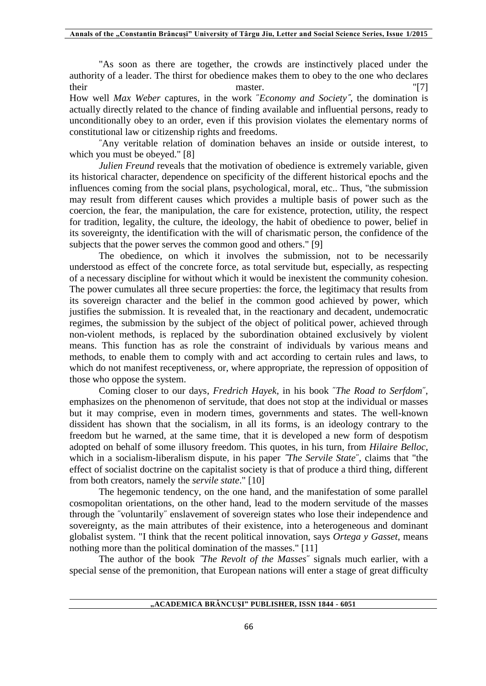"As soon as there are together, the crowds are instinctively placed under the authority of a leader. The thirst for obedience makes them to obey to the one who declares their master.  $\blacksquare$  [7] How well *Max Weber* captures, in the work ˝*Economy and Society˝*, the domination is actually directly related to the chance of finding available and influential persons, ready to unconditionally obey to an order, even if this provision violates the elementary norms of constitutional law or citizenship rights and freedoms.

˝Any veritable relation of domination behaves an inside or outside interest, to which you must be obeyed." [8]

*Julien Freund* reveals that the motivation of obedience is extremely variable, given its historical character, dependence on specificity of the different historical epochs and the influences coming from the social plans, psychological, moral, etc.. Thus, "the submission may result from different causes which provides a multiple basis of power such as the coercion, the fear, the manipulation, the care for existence, protection, utility, the respect for tradition, legality, the culture, the ideology, the habit of obedience to power, belief in its sovereignty, the identification with the will of charismatic person, the confidence of the subjects that the power serves the common good and others." [9]

The obedience, on which it involves the submission, not to be necessarily understood as effect of the concrete force, as total servitude but, especially, as respecting of a necessary discipline for without which it would be inexistent the community cohesion. The power cumulates all three secure properties: the force, the legitimacy that results from its sovereign character and the belief in the common good achieved by power, which justifies the submission. It is revealed that, in the reactionary and decadent, undemocratic regimes, the submission by the subject of the object of political power, achieved through non-violent methods, is replaced by the subordination obtained exclusively by violent means. This function has as role the constraint of individuals by various means and methods, to enable them to comply with and act according to certain rules and laws, to which do not manifest receptiveness, or, where appropriate, the repression of opposition of those who oppose the system.

Coming closer to our days, *Fredrich Hayek,* in his book ˝*The Road to Serfdom*˝, emphasizes on the phenomenon of servitude, that does not stop at the individual or masses but it may comprise, even in modern times, governments and states. The well-known dissident has shown that the socialism, in all its forms, is an ideology contrary to the freedom but he warned, at the same time, that it is developed a new form of despotism adopted on behalf of some illusory freedom. This quotes, in his turn, from *Hilaire Belloc*, which in a socialism-liberalism dispute, in his paper *˝The Servile State*˝, claims that "the effect of socialist doctrine on the capitalist society is that of produce a third thing, different from both creators, namely the *servile state*." [10]

The hegemonic tendency, on the one hand, and the manifestation of some parallel cosmopolitan orientations, on the other hand, lead to the modern servitude of the masses through the ˝voluntarily˝ enslavement of sovereign states who lose their independence and sovereignty, as the main attributes of their existence, into a heterogeneous and dominant globalist system. "I think that the recent political innovation, says *Ortega y Gasset*, means nothing more than the political domination of the masses." [11]

The author of the book *˝The Revolt of the Masses*˝ signals much earlier, with a special sense of the premonition, that European nations will enter a stage of great difficulty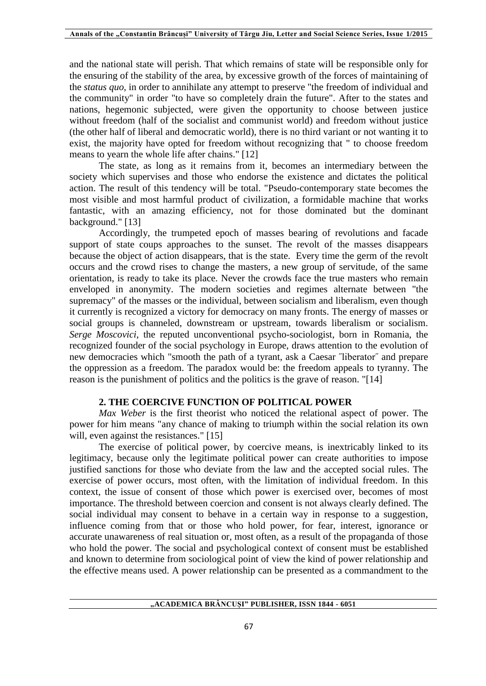and the national state will perish. That which remains of state will be responsible only for the ensuring of the stability of the area, by excessive growth of the forces of maintaining of the *status quo*, in order to annihilate any attempt to preserve "the freedom of individual and the community" in order "to have so completely drain the future". After to the states and nations, hegemonic subjected, were given the opportunity to choose between justice without freedom (half of the socialist and communist world) and freedom without justice (the other half of liberal and democratic world), there is no third variant or not wanting it to exist, the majority have opted for freedom without recognizing that " to choose freedom means to yearn the whole life after chains." [12]

The state, as long as it remains from it, becomes an intermediary between the society which supervises and those who endorse the existence and dictates the political action. The result of this tendency will be total. "Pseudo-contemporary state becomes the most visible and most harmful product of civilization, a formidable machine that works fantastic, with an amazing efficiency, not for those dominated but the dominant background." [13]

Accordingly, the trumpeted epoch of masses bearing of revolutions and facade support of state coups approaches to the sunset. The revolt of the masses disappears because the object of action disappears, that is the state. Every time the germ of the revolt occurs and the crowd rises to change the masters, a new group of servitude, of the same orientation, is ready to take its place. Never the crowds face the true masters who remain enveloped in anonymity. The modern societies and regimes alternate between "the supremacy" of the masses or the individual, between socialism and liberalism, even though it currently is recognized a victory for democracy on many fronts. The energy of masses or social groups is channeled, downstream or upstream, towards liberalism or socialism. *Serge Moscovici*, the reputed unconventional psycho-sociologist, born in Romania, the recognized founder of the social psychology in Europe, draws attention to the evolution of new democracies which "smooth the path of a tyrant, ask a Caesar ˝liberator˝ and prepare the oppression as a freedom. The paradox would be: the freedom appeals to tyranny. The reason is the punishment of politics and the politics is the grave of reason. "[14]

### **2. THE COERCIVE FUNCTION OF POLITICAL POWER**

*Max Weber* is the first theorist who noticed the relational aspect of power. The power for him means "any chance of making to triumph within the social relation its own will, even against the resistances." [15]

The exercise of political power, by coercive means, is inextricably linked to its legitimacy, because only the legitimate political power can create authorities to impose justified sanctions for those who deviate from the law and the accepted social rules. The exercise of power occurs, most often, with the limitation of individual freedom. In this context, the issue of consent of those which power is exercised over, becomes of most importance. The threshold between coercion and consent is not always clearly defined. The social individual may consent to behave in a certain way in response to a suggestion, influence coming from that or those who hold power, for fear, interest, ignorance or accurate unawareness of real situation or, most often, as a result of the propaganda of those who hold the power. The social and psychological context of consent must be established and known to determine from sociological point of view the kind of power relationship and the effective means used. A power relationship can be presented as a commandment to the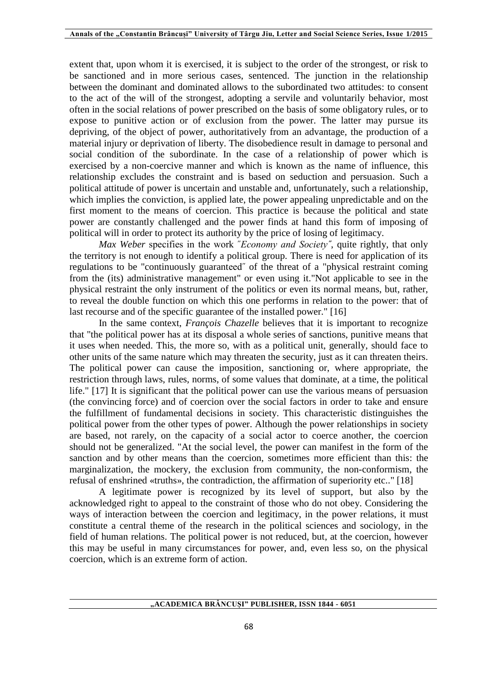extent that, upon whom it is exercised, it is subject to the order of the strongest, or risk to be sanctioned and in more serious cases, sentenced. The junction in the relationship between the dominant and dominated allows to the subordinated two attitudes: to consent to the act of the will of the strongest, adopting a servile and voluntarily behavior, most often in the social relations of power prescribed on the basis of some obligatory rules, or to expose to punitive action or of exclusion from the power. The latter may pursue its depriving, of the object of power, authoritatively from an advantage, the production of a material injury or deprivation of liberty. The disobedience result in damage to personal and social condition of the subordinate. In the case of a relationship of power which is exercised by a non-coercive manner and which is known as the name of influence, this relationship excludes the constraint and is based on seduction and persuasion. Such a political attitude of power is uncertain and unstable and, unfortunately, such a relationship, which implies the conviction, is applied late, the power appealing unpredictable and on the first moment to the means of coercion. This practice is because the political and state power are constantly challenged and the power finds at hand this form of imposing of political will in order to protect its authority by the price of losing of legitimacy.

*Max Weber* specifies in the work ˝*Economy and Society˝*, quite rightly, that only the territory is not enough to identify a political group. There is need for application of its regulations to be "continuously guaranteed˝ of the threat of a "physical restraint coming from the (its) administrative management" or even using it."Not applicable to see in the physical restraint the only instrument of the politics or even its normal means, but, rather, to reveal the double function on which this one performs in relation to the power: that of last recourse and of the specific guarantee of the installed power." [16]

In the same context, *François Chazelle* believes that it is important to recognize that "the political power has at its disposal a whole series of sanctions, punitive means that it uses when needed. This, the more so, with as a political unit, generally, should face to other units of the same nature which may threaten the security, just as it can threaten theirs. The political power can cause the imposition, sanctioning or, where appropriate, the restriction through laws, rules, norms, of some values that dominate, at a time, the political life." [17] It is significant that the political power can use the various means of persuasion (the convincing force) and of coercion over the social factors in order to take and ensure the fulfillment of fundamental decisions in society. This characteristic distinguishes the political power from the other types of power. Although the power relationships in society are based, not rarely, on the capacity of a social actor to coerce another, the coercion should not be generalized. "At the social level, the power can manifest in the form of the sanction and by other means than the coercion, sometimes more efficient than this: the marginalization, the mockery, the exclusion from community, the non-conformism, the refusal of enshrined «truths», the contradiction, the affirmation of superiority etc.." [18]

A legitimate power is recognized by its level of support, but also by the acknowledged right to appeal to the constraint of those who do not obey. Considering the ways of interaction between the coercion and legitimacy, in the power relations, it must constitute a central theme of the research in the political sciences and sociology, in the field of human relations. The political power is not reduced, but, at the coercion, however this may be useful in many circumstances for power, and, even less so, on the physical coercion, which is an extreme form of action.